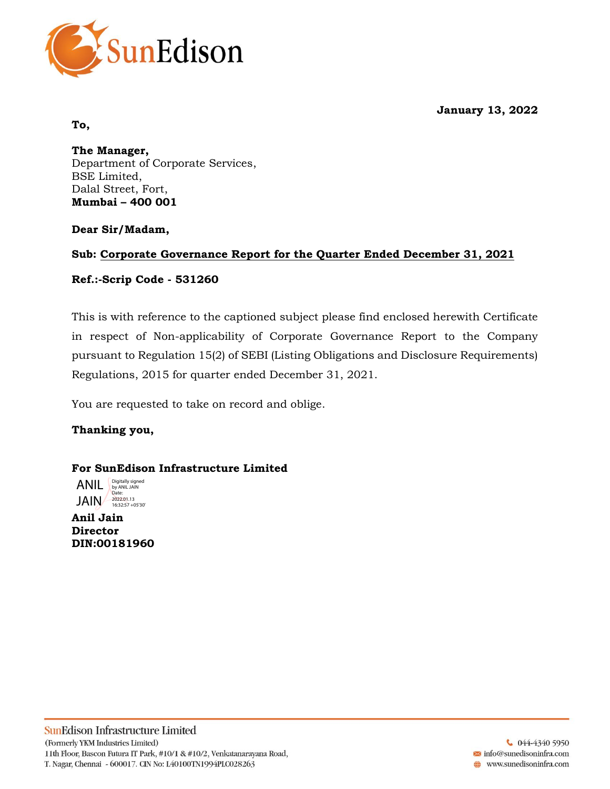**January 13, 2022**



#### **To,**

**The Manager,** Department of Corporate Services, BSE Limited, Dalal Street, Fort, **Mumbai – 400 001**

## **Dear Sir/Madam,**

## **Sub: Corporate Governance Report for the Quarter Ended December 31, 2021**

## **Ref.:-Scrip Code - 531260**

This is with reference to the captioned subject please find enclosed herewith Certificate in respect of Non-applicability of Corporate Governance Report to the Company pursuant to Regulation 15(2) of SEBI (Listing Obligations and Disclosure Requirements) Regulations, 2015 for quarter ended December 31, 2021.

You are requested to take on record and oblige.

## **Thanking you,**

## **For SunEdison Infrastructure Limited**

JAIN 2022.01.13 ANIL Digitally signed by ANIL JAIN Date:

**Anil Jain Director DIN:00181960**

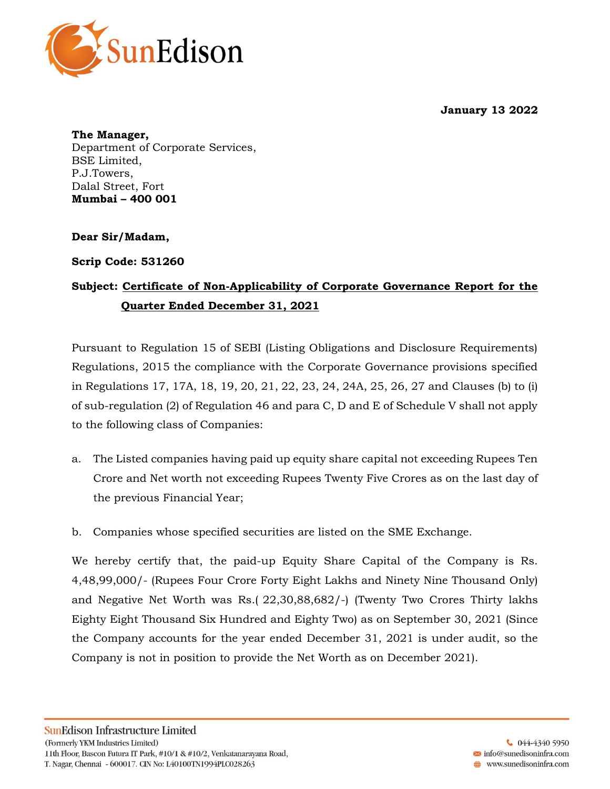



**The Manager,** Department of Corporate Services, BSE Limited, P.J.Towers, Dalal Street, Fort **Mumbai – 400 001**

**Dear Sir/Madam,**

**Scrip Code: 531260** 

# **Subject: Certificate of Non-Applicability of Corporate Governance Report for the Quarter Ended December 31, 2021**

Pursuant to Regulation 15 of SEBI (Listing Obligations and Disclosure Requirements) Regulations, 2015 the compliance with the Corporate Governance provisions specified in Regulations 17, 17A, 18, 19, 20, 21, 22, 23, 24, 24A, 25, 26, 27 and Clauses (b) to (i) of sub-regulation (2) of Regulation 46 and para C, D and E of Schedule V shall not apply to the following class of Companies:

- a. The Listed companies having paid up equity share capital not exceeding Rupees Ten Crore and Net worth not exceeding Rupees Twenty Five Crores as on the last day of the previous Financial Year;
- b. Companies whose specified securities are listed on the SME Exchange.

We hereby certify that, the paid-up Equity Share Capital of the Company is Rs. 4,48,99,000/- (Rupees Four Crore Forty Eight Lakhs and Ninety Nine Thousand Only) and Negative Net Worth was Rs.( 22,30,88,682/-) (Twenty Two Crores Thirty lakhs Eighty Eight Thousand Six Hundred and Eighty Two) as on September 30, 2021 (Since the Company accounts for the year ended December 31, 2021 is under audit, so the Company is not in position to provide the Net Worth as on December 2021).